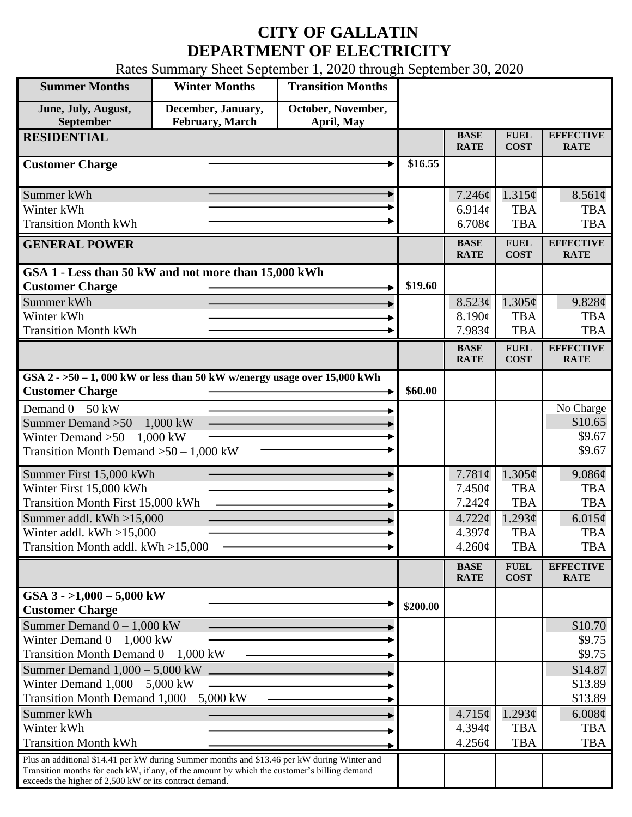## **CITY OF GALLATIN DEPARTMENT OF ELECTRICITY**

Rates Summary Sheet September 1, 2020 through September 30, 2020

| <b>Summer Months</b>                                                                                                                                                                                                                                 | <b>Winter Months</b>                  | <b>Transition Months</b>         |          |                              |                                |                                 |
|------------------------------------------------------------------------------------------------------------------------------------------------------------------------------------------------------------------------------------------------------|---------------------------------------|----------------------------------|----------|------------------------------|--------------------------------|---------------------------------|
| June, July, August,<br>September                                                                                                                                                                                                                     | December, January,<br>February, March | October, November,<br>April, May |          |                              |                                |                                 |
| <b>RESIDENTIAL</b>                                                                                                                                                                                                                                   |                                       |                                  |          | <b>BASE</b><br><b>RATE</b>   | <b>FUEL</b><br><b>COST</b>     | <b>EFFECTIVE</b><br><b>RATE</b> |
| <b>Customer Charge</b>                                                                                                                                                                                                                               |                                       |                                  | \$16.55  |                              |                                |                                 |
| Summer kWh<br>Winter kWh                                                                                                                                                                                                                             |                                       |                                  |          | 7.246¢<br>$6.914\mathcal{C}$ | 1.315¢<br><b>TBA</b>           | 8.561¢<br><b>TBA</b>            |
| <b>Transition Month kWh</b>                                                                                                                                                                                                                          |                                       |                                  |          | 6.708¢                       | <b>TBA</b>                     | <b>TBA</b>                      |
| <b>GENERAL POWER</b>                                                                                                                                                                                                                                 |                                       |                                  |          | <b>BASE</b><br><b>RATE</b>   | <b>FUEL</b><br><b>COST</b>     | <b>EFFECTIVE</b><br><b>RATE</b> |
| GSA 1 - Less than 50 kW and not more than 15,000 kWh<br><b>Customer Charge</b>                                                                                                                                                                       |                                       |                                  | \$19.60  |                              |                                |                                 |
| Summer kWh                                                                                                                                                                                                                                           |                                       |                                  |          | 8.523¢                       | $1.305\phi$                    | 9.828¢                          |
| Winter kWh                                                                                                                                                                                                                                           |                                       |                                  |          | 8.190¢                       | <b>TBA</b>                     | <b>TBA</b>                      |
| <b>Transition Month kWh</b>                                                                                                                                                                                                                          |                                       |                                  |          | 7.983¢                       | <b>TBA</b>                     | <b>TBA</b>                      |
|                                                                                                                                                                                                                                                      |                                       |                                  |          | <b>BASE</b><br><b>RATE</b>   | <b>FUEL</b><br><b>COST</b>     | <b>EFFECTIVE</b><br><b>RATE</b> |
| GSA $2 - 50 - 1$ , 000 kW or less than 50 kW w/energy usage over 15,000 kWh<br><b>Customer Charge</b>                                                                                                                                                |                                       |                                  | \$60.00  |                              |                                |                                 |
| Demand $0 - 50$ kW                                                                                                                                                                                                                                   |                                       |                                  |          |                              |                                | No Charge                       |
| Summer Demand $>50-1,000$ kW                                                                                                                                                                                                                         |                                       |                                  |          |                              |                                | \$10.65                         |
| Winter Demand $>50-1,000$ kW<br>Transition Month Demand $>50-1,000$ kW                                                                                                                                                                               |                                       |                                  |          |                              |                                | \$9.67<br>\$9.67                |
|                                                                                                                                                                                                                                                      |                                       |                                  |          |                              |                                |                                 |
| Summer First 15,000 kWh                                                                                                                                                                                                                              |                                       |                                  |          | 7.781 $\phi$                 | $1.305\phi$                    | 9.086¢                          |
| Winter First 15,000 kWh                                                                                                                                                                                                                              |                                       |                                  |          | $7.450\phi$                  | <b>TBA</b>                     | <b>TBA</b>                      |
| Transition Month First 15,000 kWh                                                                                                                                                                                                                    |                                       |                                  |          | 7.242¢                       | <b>TBA</b>                     | <b>TBA</b>                      |
| Summer addl. $kWh > 15,000$<br>Winter addl. $kWh > 15,000$                                                                                                                                                                                           |                                       |                                  |          | $4.722 \phi$<br>4.397c       | 1.293¢<br><b>TBA</b>           | $6.015\phi$<br><b>TBA</b>       |
| Transition Month addl. kWh >15,000                                                                                                                                                                                                                   |                                       |                                  |          | $4.260\phi$                  | <b>TBA</b>                     | <b>TBA</b>                      |
|                                                                                                                                                                                                                                                      |                                       |                                  |          | <b>BASE</b>                  | ${\bf F}{\bf U}{\bf E}{\bf L}$ | <b>EFFECTIVE</b>                |
|                                                                                                                                                                                                                                                      |                                       |                                  |          | <b>RATE</b>                  | <b>COST</b>                    | <b>RATE</b>                     |
| GSA $3 - 1,000 - 5,000$ kW<br><b>Customer Charge</b>                                                                                                                                                                                                 |                                       |                                  | \$200.00 |                              |                                |                                 |
| Summer Demand $0 - 1,000$ kW                                                                                                                                                                                                                         |                                       |                                  |          |                              |                                | \$10.70                         |
| Winter Demand $0 - 1,000$ kW                                                                                                                                                                                                                         |                                       |                                  |          |                              |                                | \$9.75                          |
| Transition Month Demand $0 - 1,000$ kW<br>Summer Demand $1,000 - 5,000$ kW $\Box$                                                                                                                                                                    |                                       |                                  |          |                              |                                | \$9.75<br>\$14.87               |
| Winter Demand $1,000 - 5,000$ kW                                                                                                                                                                                                                     |                                       |                                  |          |                              |                                | \$13.89                         |
| Transition Month Demand $1,000 - 5,000$ kW                                                                                                                                                                                                           |                                       |                                  |          |                              |                                | \$13.89                         |
| Summer kWh                                                                                                                                                                                                                                           |                                       |                                  |          | $4.715\phi$                  | $1.293\phi$                    | 6.008¢                          |
| Winter kWh                                                                                                                                                                                                                                           |                                       |                                  |          | $4.394\mathcal{C}$           | <b>TBA</b>                     | <b>TBA</b>                      |
| <b>Transition Month kWh</b>                                                                                                                                                                                                                          |                                       |                                  |          | 4.256¢                       | <b>TBA</b>                     | <b>TBA</b>                      |
| Plus an additional \$14.41 per kW during Summer months and \$13.46 per kW during Winter and<br>Transition months for each kW, if any, of the amount by which the customer's billing demand<br>exceeds the higher of 2,500 kW or its contract demand. |                                       |                                  |          |                              |                                |                                 |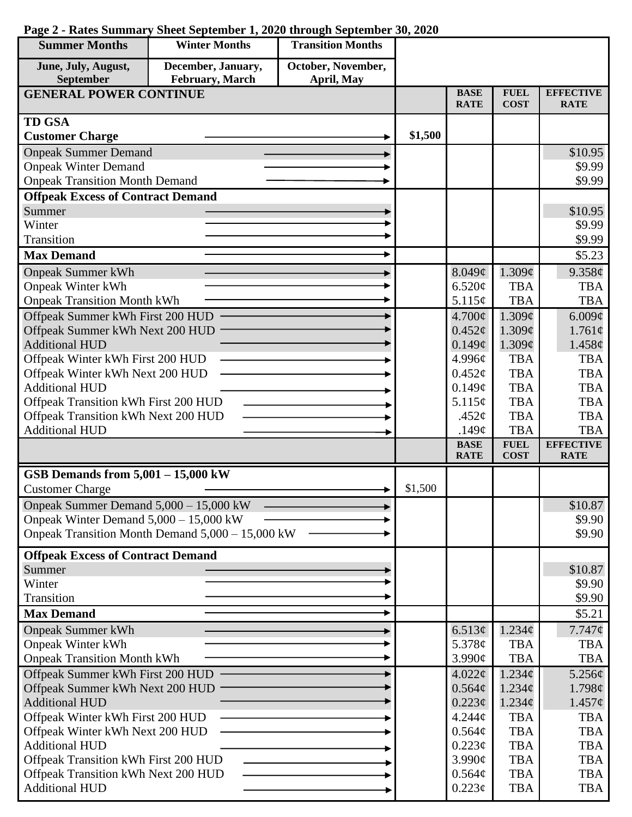| <b>Summer Months</b>                                                        | <b>Winter Months</b>                             | <b>Transition Months</b> |         |                            |                            |                                 |
|-----------------------------------------------------------------------------|--------------------------------------------------|--------------------------|---------|----------------------------|----------------------------|---------------------------------|
| June, July, August,                                                         | December, January,                               | October, November,       |         |                            |                            |                                 |
| September                                                                   | February, March                                  | April, May               |         | <b>BASE</b>                | <b>FUEL</b>                | <b>EFFECTIVE</b>                |
| <b>GENERAL POWER CONTINUE</b>                                               |                                                  |                          |         | <b>RATE</b>                | <b>COST</b>                | <b>RATE</b>                     |
| <b>TD GSA</b>                                                               |                                                  |                          |         |                            |                            |                                 |
| <b>Customer Charge</b>                                                      |                                                  |                          | \$1,500 |                            |                            |                                 |
| <b>Onpeak Summer Demand</b>                                                 |                                                  |                          |         |                            |                            | \$10.95                         |
| <b>Onpeak Winter Demand</b>                                                 |                                                  |                          |         |                            |                            | \$9.99                          |
| <b>Onpeak Transition Month Demand</b>                                       |                                                  |                          |         |                            |                            | \$9.99                          |
| <b>Offpeak Excess of Contract Demand</b>                                    |                                                  |                          |         |                            |                            |                                 |
| Summer                                                                      |                                                  |                          |         |                            |                            | \$10.95                         |
| Winter                                                                      |                                                  |                          |         |                            |                            | \$9.99                          |
| Transition                                                                  |                                                  |                          |         |                            |                            | \$9.99                          |
| <b>Max Demand</b>                                                           |                                                  |                          |         |                            |                            | \$5.23                          |
| <b>Onpeak Summer kWh</b>                                                    |                                                  |                          |         | 8.049¢                     | 1.309¢                     | 9.358¢                          |
| <b>Onpeak Winter kWh</b>                                                    |                                                  |                          |         | 6.520¢                     | <b>TBA</b>                 | <b>TBA</b>                      |
| <b>Onpeak Transition Month kWh</b>                                          |                                                  |                          |         | 5.115¢                     | <b>TBA</b>                 | <b>TBA</b>                      |
| Offpeak Summer kWh First 200 HUD                                            |                                                  |                          |         | $4.700\phi$                | 1.309 <sub>c</sub>         | 6.009¢                          |
| Offpeak Summer kWh Next 200 HUD                                             |                                                  |                          |         | $0.452\phi$                | 1.309¢                     | 1.761¢                          |
| <b>Additional HUD</b>                                                       |                                                  |                          |         | 0.149¢                     | 1.309¢                     | 1.458¢                          |
| Offpeak Winter kWh First 200 HUD                                            |                                                  |                          |         | 4.996¢                     | <b>TBA</b>                 | <b>TBA</b>                      |
| Offpeak Winter kWh Next 200 HUD                                             |                                                  |                          |         | 0.452¢                     | <b>TBA</b>                 | <b>TBA</b>                      |
| <b>Additional HUD</b>                                                       |                                                  |                          |         | 0.149¢                     | <b>TBA</b>                 | <b>TBA</b>                      |
| Offpeak Transition kWh First 200 HUD                                        |                                                  |                          |         | 5.115¢                     | <b>TBA</b>                 | <b>TBA</b>                      |
| Offpeak Transition kWh Next 200 HUD                                         |                                                  |                          |         | .452 $\mathfrak{c}$        | <b>TBA</b>                 | <b>TBA</b>                      |
| <b>Additional HUD</b>                                                       |                                                  |                          |         | .149 $\phi$                | <b>TBA</b>                 | <b>TBA</b>                      |
|                                                                             |                                                  |                          |         | <b>BASE</b><br><b>RATE</b> | <b>FUEL</b><br><b>COST</b> | <b>EFFECTIVE</b><br><b>RATE</b> |
| GSB Demands from $5,001 - 15,000$ kW                                        |                                                  |                          |         |                            |                            |                                 |
| <b>Customer Charge</b>                                                      |                                                  |                          | \$1,500 |                            |                            |                                 |
| Onpeak Summer Demand 5,000 - 15,000 kW                                      |                                                  |                          |         |                            |                            | \$10.87                         |
| Onpeak Winter Demand $5,000 - 15,000$ kW                                    |                                                  |                          |         |                            |                            | \$9.90                          |
|                                                                             | Onpeak Transition Month Demand 5,000 - 15,000 kW |                          |         |                            |                            | \$9.90                          |
| <b>Offpeak Excess of Contract Demand</b>                                    |                                                  |                          |         |                            |                            |                                 |
| Summer                                                                      |                                                  |                          |         |                            |                            | \$10.87                         |
| Winter                                                                      |                                                  |                          |         |                            |                            | \$9.90                          |
| Transition                                                                  |                                                  |                          |         |                            |                            | \$9.90                          |
| <b>Max Demand</b>                                                           |                                                  |                          |         |                            |                            | \$5.21                          |
| <b>Onpeak Summer kWh</b>                                                    |                                                  |                          |         | 6.513¢                     | $1.234\phi$                | $7.747\phi$                     |
| <b>Onpeak Winter kWh</b>                                                    |                                                  |                          |         | 5.378 $\phi$               | <b>TBA</b>                 | <b>TBA</b>                      |
| <b>Onpeak Transition Month kWh</b>                                          |                                                  |                          |         | 3.990¢                     | <b>TBA</b>                 | <b>TBA</b>                      |
| Offpeak Summer kWh First 200 HUD                                            |                                                  |                          |         | 4.022¢                     | 1.234 <sub>c</sub>         | $5.256\phi$                     |
| Offpeak Summer kWh Next 200 HUD                                             |                                                  |                          |         | $0.564\phi$                | $1.234\phi$                | 1.798¢                          |
| <b>Additional HUD</b>                                                       |                                                  |                          |         | $0.223\phi$                | $1.234\phi$                | $1.457\phi$                     |
| Offpeak Winter kWh First 200 HUD                                            |                                                  |                          |         | 4.244¢                     | <b>TBA</b>                 | <b>TBA</b>                      |
| Offpeak Winter kWh Next 200 HUD                                             |                                                  |                          |         | 0.564¢                     | <b>TBA</b>                 | <b>TBA</b>                      |
| <b>Additional HUD</b>                                                       |                                                  |                          |         | 0.223¢                     | <b>TBA</b>                 | <b>TBA</b>                      |
| Offpeak Transition kWh First 200 HUD<br>Offpeak Transition kWh Next 200 HUD |                                                  |                          |         | 3.990¢                     | <b>TBA</b>                 | <b>TBA</b>                      |
| <b>Additional HUD</b>                                                       |                                                  |                          |         | 0.564¢<br>$0.223\phi$      | <b>TBA</b><br><b>TBA</b>   | <b>TBA</b><br><b>TBA</b>        |
|                                                                             |                                                  |                          |         |                            |                            |                                 |

## **Page 2 - Rates Summary Sheet September 1, 2020 through September 30, 2020**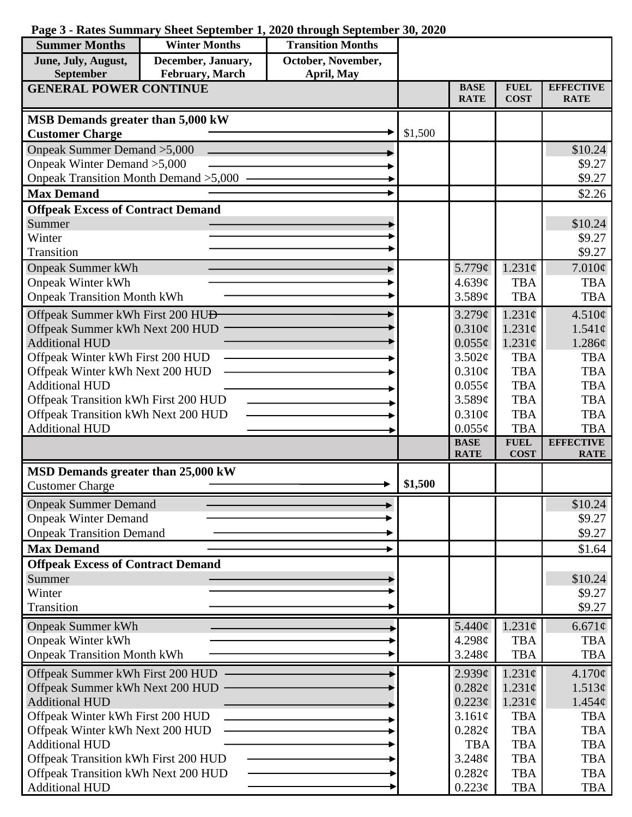|  | Page 3 - Rates Summary Sheet September 1, 2020 through September 30, 2020 |  |  |  |  |  |  |  |
|--|---------------------------------------------------------------------------|--|--|--|--|--|--|--|
|--|---------------------------------------------------------------------------|--|--|--|--|--|--|--|

| <b>Summer Months</b>                                                        | <b>Winter Months</b> | <b>Transition Months</b> |         |                            |                            |                                 |
|-----------------------------------------------------------------------------|----------------------|--------------------------|---------|----------------------------|----------------------------|---------------------------------|
| June, July, August,                                                         | December, January,   | October, November,       |         |                            |                            |                                 |
| <b>September</b>                                                            | February, March      | April, May               |         | <b>BASE</b>                | <b>FUEL</b>                | <b>EFFECTIVE</b>                |
| <b>GENERAL POWER CONTINUE</b>                                               |                      |                          |         | <b>RATE</b>                | <b>COST</b>                | <b>RATE</b>                     |
| MSB Demands greater than 5,000 kW                                           |                      |                          |         |                            |                            |                                 |
| <b>Customer Charge</b>                                                      |                      |                          | \$1,500 |                            |                            |                                 |
| Onpeak Summer Demand > 5,000                                                |                      |                          |         |                            |                            | \$10.24                         |
| Onpeak Winter Demand > 5,000                                                |                      |                          |         |                            |                            | \$9.27                          |
| Onpeak Transition Month Demand > 5,000                                      |                      |                          |         |                            |                            | \$9.27                          |
| <b>Max Demand</b>                                                           |                      |                          |         |                            |                            | \$2.26                          |
| <b>Offpeak Excess of Contract Demand</b>                                    |                      |                          |         |                            |                            |                                 |
| Summer<br>Winter                                                            |                      |                          |         |                            |                            | \$10.24<br>\$9.27               |
| Transition                                                                  |                      |                          |         |                            |                            | \$9.27                          |
| <b>Onpeak Summer kWh</b>                                                    |                      |                          |         | 5.779¢                     | $1.231\phi$                | $7.010\phi$                     |
| <b>Onpeak Winter kWh</b>                                                    |                      |                          |         | 4.639c                     | <b>TBA</b>                 | <b>TBA</b>                      |
| <b>Onpeak Transition Month kWh</b>                                          |                      |                          |         | 3.589¢                     | <b>TBA</b>                 | <b>TBA</b>                      |
| Offpeak Summer kWh First 200 HU <del>D</del>                                |                      |                          |         | 3.279¢                     | $1.231\text{c}$            | 4.510¢                          |
| Offpeak Summer kWh Next 200 HUD                                             |                      |                          |         | $0.310\phi$                | 1.231c                     | $1.541\phi$                     |
| <b>Additional HUD</b>                                                       |                      |                          |         | $0.055\phi$                | $1.231\phi$                | 1.286¢                          |
| Offpeak Winter kWh First 200 HUD                                            |                      |                          |         | 3.502¢                     | <b>TBA</b>                 | <b>TBA</b>                      |
| Offpeak Winter kWh Next 200 HUD                                             |                      |                          |         | $0.310\phi$                | <b>TBA</b>                 | <b>TBA</b>                      |
| <b>Additional HUD</b>                                                       |                      |                          |         | $0.055\phi$                | <b>TBA</b>                 | <b>TBA</b>                      |
| Offpeak Transition kWh First 200 HUD                                        |                      |                          |         | 3.589¢                     | <b>TBA</b>                 | <b>TBA</b>                      |
| Offpeak Transition kWh Next 200 HUD                                         |                      |                          |         | $0.310\phi$                | <b>TBA</b>                 | <b>TBA</b>                      |
| <b>Additional HUD</b>                                                       |                      |                          |         | $0.055\phi$                | <b>TBA</b>                 | <b>TBA</b>                      |
|                                                                             |                      |                          |         | <b>BASE</b><br><b>RATE</b> | <b>FUEL</b><br><b>COST</b> | <b>EFFECTIVE</b><br><b>RATE</b> |
| MSD Demands greater than 25,000 kW                                          |                      |                          |         |                            |                            |                                 |
| <b>Customer Charge</b>                                                      |                      |                          | \$1,500 |                            |                            |                                 |
| <b>Onpeak Summer Demand</b>                                                 |                      |                          |         |                            |                            | \$10.24                         |
| <b>Onpeak Winter Demand</b>                                                 |                      |                          |         |                            |                            | \$9.27                          |
| <b>Onpeak Transition Demand</b>                                             |                      |                          |         |                            |                            | \$9.27                          |
| <b>Max Demand</b>                                                           |                      |                          |         |                            |                            | \$1.64                          |
| <b>Offpeak Excess of Contract Demand</b>                                    |                      |                          |         |                            |                            |                                 |
| Summer                                                                      |                      |                          |         |                            |                            | \$10.24                         |
| Winter                                                                      |                      |                          |         |                            |                            | \$9.27                          |
| Transition                                                                  |                      |                          |         |                            |                            | \$9.27                          |
| <b>Onpeak Summer kWh</b>                                                    |                      |                          |         | 5.440¢                     | $1.231\phi$                | $6.671\phi$                     |
| <b>Onpeak Winter kWh</b>                                                    |                      |                          |         | 4.298c                     | <b>TBA</b>                 | <b>TBA</b>                      |
| <b>Onpeak Transition Month kWh</b>                                          |                      |                          |         | 3.248¢                     | <b>TBA</b>                 | <b>TBA</b>                      |
| Offpeak Summer kWh First 200 HUD                                            |                      |                          |         | 2.939¢                     | $1.231\phi$                | 4.170¢                          |
| Offpeak Summer kWh Next 200 HUD                                             |                      |                          |         | 0.282¢                     | $1.231\phi$                | 1.513¢                          |
| <b>Additional HUD</b>                                                       |                      |                          |         | 0.223¢                     | $1.231\phi$                | $1.454\phi$                     |
| Offpeak Winter kWh First 200 HUD                                            |                      |                          |         | 3.161¢                     | <b>TBA</b>                 | <b>TBA</b>                      |
| Offpeak Winter kWh Next 200 HUD                                             |                      |                          |         | 0.282¢                     | <b>TBA</b>                 | <b>TBA</b>                      |
| <b>Additional HUD</b>                                                       |                      |                          |         | <b>TBA</b><br>3.248¢       | <b>TBA</b><br><b>TBA</b>   | <b>TBA</b><br><b>TBA</b>        |
| Offpeak Transition kWh First 200 HUD<br>Offpeak Transition kWh Next 200 HUD |                      |                          |         | $0.282\phi$                | <b>TBA</b>                 | <b>TBA</b>                      |
| <b>Additional HUD</b>                                                       |                      |                          |         |                            | <b>TBA</b>                 | TBA                             |